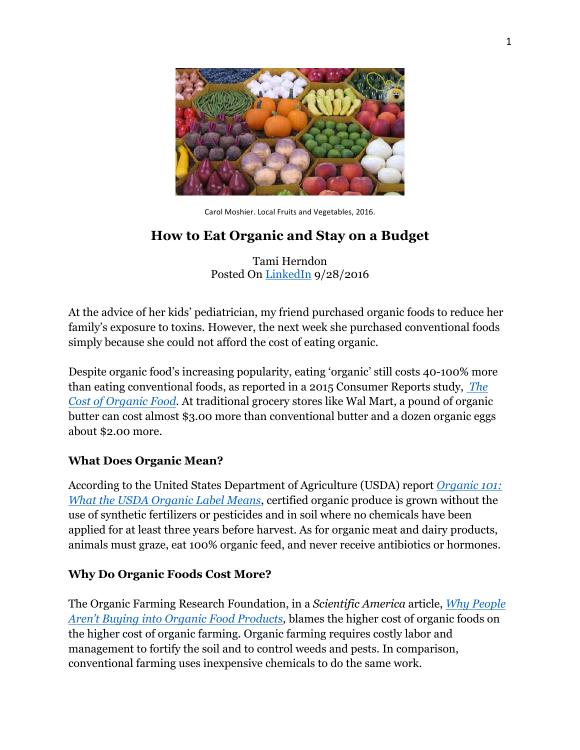

Carol Moshier. Local Fruits and Vegetables, 2016.

# **How to Eat Organic and Stay on a Budget**

Tami Herndon Posted On LinkedIn 9/28/2016

At the advice of her kids' pediatrician, my friend purchased organic foods to reduce her family's exposure to toxins. However, the next week she purchased conventional foods simply because she could not afford the cost of eating organic.

Despite organic food's increasing popularity, eating 'organic' still costs 40-100% more than eating conventional foods, as reported in a 2015 Consumer Reports study, *The Cost of Organic Food.* At traditional grocery stores like Wal Mart, a pound of organic butter can cost almost \$3.00 more than conventional butter and a dozen organic eggs about \$2.00 more.

### **What Does Organic Mean?**

According to the United States Department of Agriculture (USDA) report *Organic 101: What the USDA Organic Label Means*, certified organic produce is grown without the use of synthetic fertilizers or pesticides and in soil where no chemicals have been applied for at least three years before harvest. As for organic meat and dairy products, animals must graze, eat 100% organic feed, and never receive antibiotics or hormones.

## **Why Do Organic Foods Cost More?**

The Organic Farming Research Foundation, in a *Scientific America* article, *Why People Aren't Buying into Organic Food Products,* blames the higher cost of organic foods on the higher cost of organic farming. Organic farming requires costly labor and management to fortify the soil and to control weeds and pests. In comparison, conventional farming uses inexpensive chemicals to do the same work.